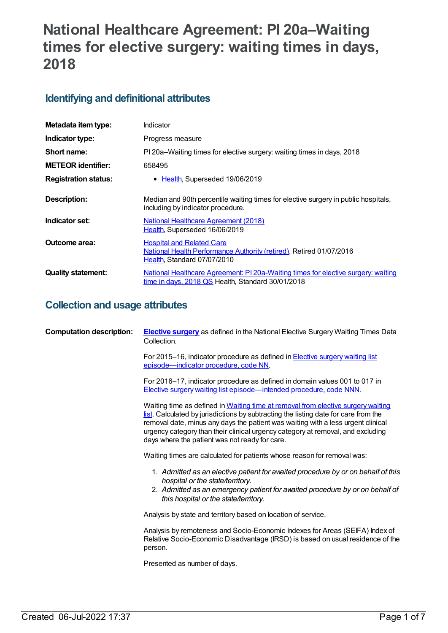# **National Healthcare Agreement: PI 20a–Waiting times for elective surgery: waiting times in days, 2018**

# **Identifying and definitional attributes**

| Metadata item type:         | Indicator                                                                                                                                |
|-----------------------------|------------------------------------------------------------------------------------------------------------------------------------------|
| Indicator type:             | Progress measure                                                                                                                         |
| Short name:                 | PI 20a–Waiting times for elective surgery: waiting times in days, 2018                                                                   |
| <b>METEOR identifier:</b>   | 658495                                                                                                                                   |
| <b>Registration status:</b> | • Health, Superseded 19/06/2019                                                                                                          |
| <b>Description:</b>         | Median and 90th percentile waiting times for elective surgery in public hospitals,<br>including by indicator procedure.                  |
| Indicator set:              | <b>National Healthcare Agreement (2018)</b><br>Health, Superseded 16/06/2019                                                             |
| Outcome area:               | <b>Hospital and Related Care</b><br>National Health Performance Authority (retired), Retired 01/07/2016<br>Health, Standard 07/07/2010   |
| <b>Quality statement:</b>   | National Healthcare Agreement: PI 20a-Waiting times for elective surgery: waiting<br>$time$ in days, 2018 QS Health, Standard 30/01/2018 |

# **Collection and usage attributes**

| <b>Computation description:</b> | <b>Elective surgery</b> as defined in the National Elective Surgery Waiting Times Data<br>Collection.                                                                                                                                                                                                                                                                                            |
|---------------------------------|--------------------------------------------------------------------------------------------------------------------------------------------------------------------------------------------------------------------------------------------------------------------------------------------------------------------------------------------------------------------------------------------------|
|                                 | For 2015-16, indicator procedure as defined in <b>Elective surgery waiting list</b><br>episode-indicator procedure, code NN.                                                                                                                                                                                                                                                                     |
|                                 | For 2016-17, indicator procedure as defined in domain values 001 to 017 in<br>Elective surgery waiting list episode—intended procedure, code NNN.                                                                                                                                                                                                                                                |
|                                 | Waiting time as defined in Waiting time at removal from elective surgery waiting<br>list. Calculated by jurisdictions by subtracting the listing date for care from the<br>removal date, minus any days the patient was waiting with a less urgent clinical<br>urgency category than their clinical urgency category at removal, and excluding<br>days where the patient was not ready for care. |
|                                 | Waiting times are calculated for patients whose reason for removal was:                                                                                                                                                                                                                                                                                                                          |
|                                 | 1. Admitted as an elective patient for awaited procedure by or on behalf of this<br>hospital or the state/territory.<br>2. Admitted as an emergency patient for avaited procedure by or on behalf of<br>this hospital or the state/territory.                                                                                                                                                    |
|                                 | Analysis by state and territory based on location of service.                                                                                                                                                                                                                                                                                                                                    |
|                                 | Analysis by remoteness and Socio-Economic Indexes for Areas (SEIFA) Index of<br>Relative Socio-Economic Disadvantage (IRSD) is based on usual residence of the<br>person.                                                                                                                                                                                                                        |
|                                 | Presented as number of days.                                                                                                                                                                                                                                                                                                                                                                     |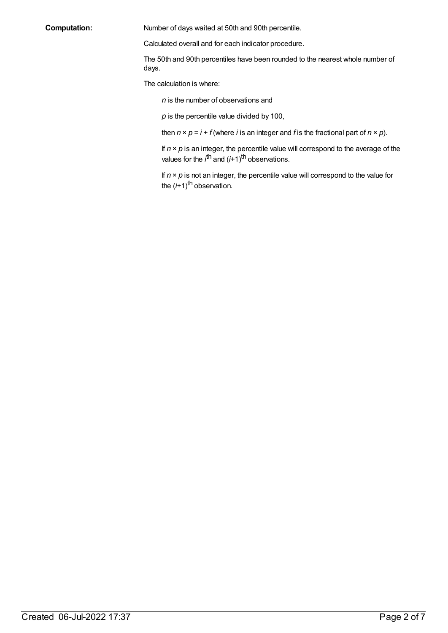**Computation:** Number of days waited at 50th and 90th percentile.

Calculated overall and for each indicator procedure.

The 50th and 90th percentiles have been rounded to the nearest whole number of days.

The calculation is where:

*n* is the number of observations and

*p* is the percentile value divided by 100,

then  $n \times p = i + f$  (where *i* is an integer and *f* is the fractional part of  $n \times p$ ).

If  $n \times p$  is an integer, the percentile value will correspond to the average of the values for the *i*<sup>th</sup> and (*i*+1)<sup>th</sup> observations.

If  $n \times p$  is not an integer, the percentile value will correspond to the value for the (i+1)<sup>th</sup> observation.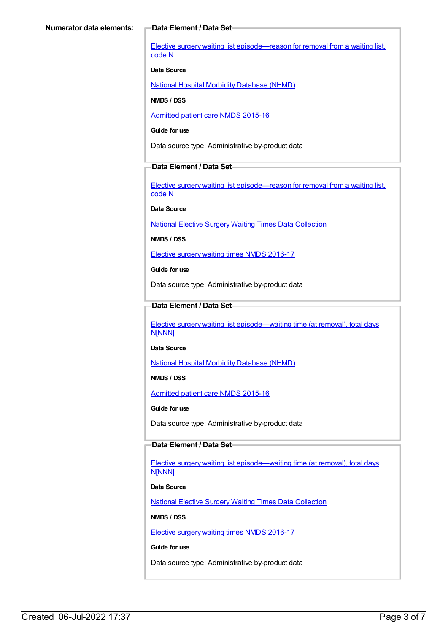Elective surgery waiting list [episode—reason](https://meteor.aihw.gov.au/content/471735) for removal from a waiting list, code N

#### **Data Source**

National Hospital Morbidity [Database](https://meteor.aihw.gov.au/content/394352) (NHMD)

**NMDS / DSS**

[Admitted](https://meteor.aihw.gov.au/content/588909) patient care NMDS 2015-16

**Guide for use**

Data source type: Administrative by-product data

#### **Data Element / Data Set**

Elective surgery waiting list [episode—reason](https://meteor.aihw.gov.au/content/471735) for removal from a waiting list, code N

**Data Source**

National Elective Surgery Waiting Times Data [Collection](https://meteor.aihw.gov.au/content/395071)

**NMDS / DSS**

Elective surgery waiting times NMDS [2016-17](https://meteor.aihw.gov.au/content/623795)

**Guide for use**

Data source type: Administrative by-product data

### **Data Element / Data Set**

Elective surgery waiting list [episode—waiting](https://meteor.aihw.gov.au/content/471744) time (at removal), total days N[NNN]

**Data Source**

National Hospital Morbidity [Database](https://meteor.aihw.gov.au/content/394352) (NHMD)

**NMDS / DSS**

[Admitted](https://meteor.aihw.gov.au/content/588909) patient care NMDS 2015-16

**Guide for use**

Data source type: Administrative by-product data

### **Data Element / Data Set**

Elective surgery waiting list [episode—waiting](https://meteor.aihw.gov.au/content/598074) time (at removal), total days **N[NNN]** 

**Data Source**

National Elective Surgery Waiting Times Data [Collection](https://meteor.aihw.gov.au/content/395071)

**NMDS / DSS**

Elective surgery waiting times NMDS [2016-17](https://meteor.aihw.gov.au/content/623795)

**Guide for use**

Data source type: Administrative by-product data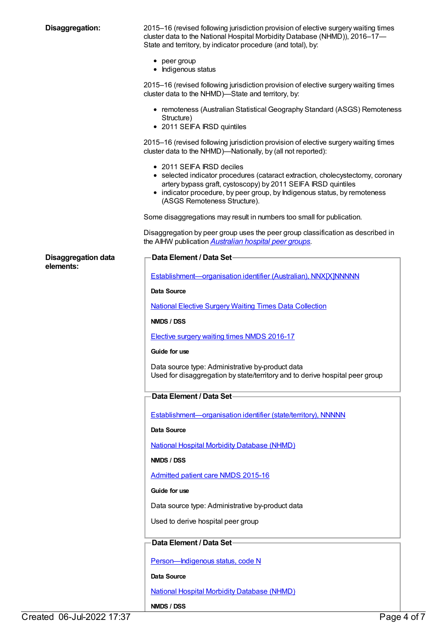| Disaggregation: |  |  |
|-----------------|--|--|
|-----------------|--|--|

**Disaggregation:** 2015–16 (revised following jurisdiction provision of elective surgery waiting times cluster data to the National Hospital Morbidity Database (NHMD)), 2016–17— State and territory, by indicator procedure (and total), by:

- peer group
- Indigenous status

2015–16 (revised following jurisdiction provision of elective surgery waiting times cluster data to the NHMD)—State and territory, by:

- remoteness (Australian Statistical Geography Standard (ASGS) Remoteness Structure)
- 2011 SEIFA IRSD quintiles

2015–16 (revised following jurisdiction provision of elective surgery waiting times cluster data to the NHMD)—Nationally, by (all not reported):

- 2011 SEIFA IRSD deciles
- selected indicator procedures (cataract extraction, cholecystectomy, coronary artery bypass graft, cystoscopy) by 2011 SEIFA IRSD quintiles
- indicator procedure, by peer group, by Indigenous status, by remoteness (ASGS Remoteness Structure).

Some disaggregations may result in numbers too small for publication.

Disaggregation by peer group uses the peer group classification as described in the AIHW publication *[Australian](http://www.aihw.gov.au/publication-detail/?id=60129553446) hospital peer groups*.

**Disaggregation** da **elements:**

| ata | Data Element / Data Set-                                                                                                         |
|-----|----------------------------------------------------------------------------------------------------------------------------------|
|     |                                                                                                                                  |
|     | Establishment-organisation identifier (Australian), NNX[X]NNNNN                                                                  |
|     | <b>Data Source</b>                                                                                                               |
|     | <b>National Elective Surgery Waiting Times Data Collection</b>                                                                   |
|     | NMDS / DSS                                                                                                                       |
|     | <b>Elective surgery waiting times NMDS 2016-17</b>                                                                               |
|     | Guide for use                                                                                                                    |
|     | Data source type: Administrative by-product data<br>Used for disaggregation by state/territory and to derive hospital peer group |
|     | Data Element / Data Set-                                                                                                         |
|     | Establishment-organisation identifier (state/territory), NNNNN                                                                   |
|     | Data Source                                                                                                                      |
|     | <b>National Hospital Morbidity Database (NHMD)</b>                                                                               |
|     | NMDS / DSS                                                                                                                       |
|     | Admitted patient care NMDS 2015-16                                                                                               |
|     | Guide for use                                                                                                                    |
|     | Data source type: Administrative by-product data                                                                                 |
|     | Used to derive hospital peer group                                                                                               |
|     |                                                                                                                                  |
|     | Data Element / Data Set-                                                                                                         |
|     | Person-Indigenous status, code N                                                                                                 |
|     | Data Source                                                                                                                      |
|     | <b>National Hospital Morbidity Database (NHMD)</b>                                                                               |

**NMDS / DSS**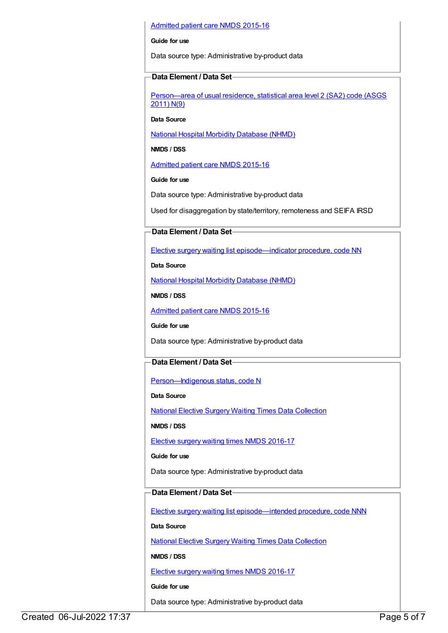#### [Admitted](https://meteor.aihw.gov.au/content/588909) patient care NMDS 2015-16

#### **Guide for use**

Data source type: Administrative by-product data

#### **Data Element / Data Set**

[Person—area](https://meteor.aihw.gov.au/content/469909) of usual residence, statistical area level 2 (SA2) code (ASGS 2011) N(9)

**Data Source**

National Hospital Morbidity [Database](https://meteor.aihw.gov.au/content/394352) (NHMD)

**NMDS / DSS**

[Admitted](https://meteor.aihw.gov.au/content/588909) patient care NMDS 2015-16

#### **Guide for use**

Data source type: Administrative by-product data

Used for disaggregation by state/territory, remoteness and SEIFA IRSD

### **Data Element / Data Set**

Elective surgery waiting list [episode—indicator](https://meteor.aihw.gov.au/content/514033) procedure, code NN

**Data Source**

National Hospital Morbidity [Database](https://meteor.aihw.gov.au/content/394352) (NHMD)

**NMDS / DSS**

[Admitted](https://meteor.aihw.gov.au/content/588909) patient care NMDS 2015-16

**Guide for use**

Data source type: Administrative by-product data

### **Data Element / Data Set**

Person-Indigenous status, code N

**Data Source**

National Elective Surgery Waiting Times Data [Collection](https://meteor.aihw.gov.au/content/395071)

**NMDS / DSS**

Elective surgery waiting times NMDS [2016-17](https://meteor.aihw.gov.au/content/623795)

#### **Guide for use**

Data source type: Administrative by-product data

## **Data Element / Data Set**

Elective surgery waiting list [episode—intended](https://meteor.aihw.gov.au/content/637500) procedure, code NNN

**Data Source**

National Elective Surgery Waiting Times Data [Collection](https://meteor.aihw.gov.au/content/395071)

**NMDS / DSS**

Elective surgery waiting times NMDS [2016-17](https://meteor.aihw.gov.au/content/623795)

**Guide for use**

Data source type: Administrative by-product data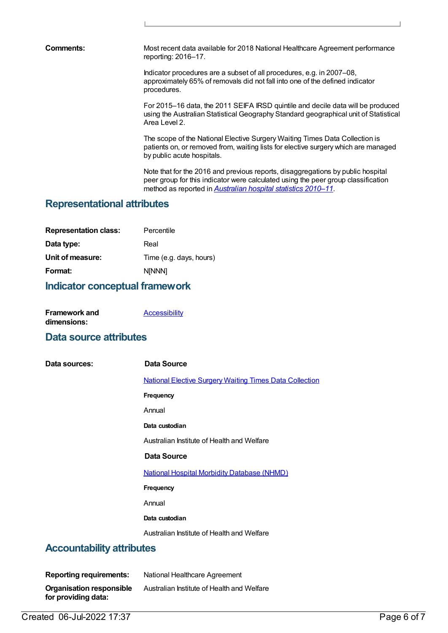**Comments:** Most recent data available for 2018 National Healthcare Agreement performance reporting: 2016–17.

> Indicator procedures are a subset of all procedures, e.g. in 2007–08, approximately 65% of removals did not fall into one of the defined indicator procedures.

For 2015–16 data, the 2011 SEIFA IRSD quintile and decile data will be produced using the Australian Statistical Geography Standard geographical unit of Statistical Area Level 2.

The scope of the National Elective Surgery Waiting Times Data Collection is patients on, or removed from, waiting lists for elective surgery which are managed by public acute hospitals.

Note that for the 2016 and previous reports, disaggregations by public hospital peer group for this indicator were calculated using the peer group classification method as reported in *[Australian](http://www.aihw.gov.au/publication-detail/?id=10737421633) hospital statistics 2010–11*.

# **Representational attributes**

| <b>Representation class:</b> | Percentile              |
|------------------------------|-------------------------|
| Data type:                   | Real                    |
| Unit of measure:             | Time (e.g. days, hours) |
| Format:                      | <b>NINNN1</b>           |

# **Indicator conceptual framework**

| <b>Framework and</b> | <b>Accessibility</b> |
|----------------------|----------------------|
| dimensions:          |                      |

## **Data source attributes**

| Data sources:                    | Data Source                                                    |
|----------------------------------|----------------------------------------------------------------|
|                                  | <b>National Elective Surgery Waiting Times Data Collection</b> |
|                                  | Frequency                                                      |
|                                  | Annual                                                         |
|                                  | Data custodian                                                 |
|                                  | Australian Institute of Health and Welfare                     |
|                                  | Data Source                                                    |
|                                  | <b>National Hospital Morbidity Database (NHMD)</b>             |
|                                  | Frequency                                                      |
|                                  | Annual                                                         |
|                                  | Data custodian                                                 |
|                                  | Australian Institute of Health and Welfare                     |
| <b>Accountability attributes</b> |                                                                |

| <b>Reporting requirements:</b>                         | National Healthcare Agreement              |
|--------------------------------------------------------|--------------------------------------------|
| <b>Organisation responsible</b><br>for providing data: | Australian Institute of Health and Welfare |